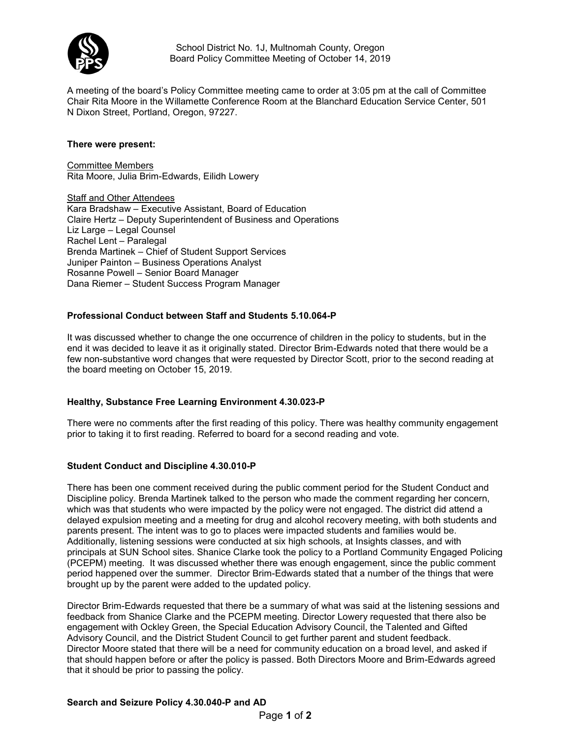

School District No. 1J, Multnomah County, Oregon Board Policy Committee Meeting of October 14, 2019

A meeting of the board's Policy Committee meeting came to order at 3:05 pm at the call of Committee Chair Rita Moore in the Willamette Conference Room at the Blanchard Education Service Center, 501 N Dixon Street, Portland, Oregon, 97227.

## **There were present:**

Committee Members Rita Moore, Julia Brim-Edwards, Eilidh Lowery

Staff and Other Attendees Kara Bradshaw – Executive Assistant, Board of Education Claire Hertz – Deputy Superintendent of Business and Operations Liz Large – Legal Counsel Rachel Lent – Paralegal Brenda Martinek – Chief of Student Support Services Juniper Painton – Business Operations Analyst Rosanne Powell – Senior Board Manager Dana Riemer – Student Success Program Manager

# **Professional Conduct between Staff and Students 5.10.064-P**

It was discussed whether to change the one occurrence of children in the policy to students, but in the end it was decided to leave it as it originally stated. Director Brim-Edwards noted that there would be a few non-substantive word changes that were requested by Director Scott, prior to the second reading at the board meeting on October 15, 2019.

### **Healthy, Substance Free Learning Environment 4.30.023-P**

There were no comments after the first reading of this policy. There was healthy community engagement prior to taking it to first reading. Referred to board for a second reading and vote.

### **Student Conduct and Discipline 4.30.010-P**

There has been one comment received during the public comment period for the Student Conduct and Discipline policy. Brenda Martinek talked to the person who made the comment regarding her concern, which was that students who were impacted by the policy were not engaged. The district did attend a delayed expulsion meeting and a meeting for drug and alcohol recovery meeting, with both students and parents present. The intent was to go to places were impacted students and families would be. Additionally, listening sessions were conducted at six high schools, at Insights classes, and with principals at SUN School sites. Shanice Clarke took the policy to a Portland Community Engaged Policing (PCEPM) meeting. It was discussed whether there was enough engagement, since the public comment period happened over the summer. Director Brim-Edwards stated that a number of the things that were brought up by the parent were added to the updated policy.

Director Brim-Edwards requested that there be a summary of what was said at the listening sessions and feedback from Shanice Clarke and the PCEPM meeting. Director Lowery requested that there also be engagement with Ockley Green, the Special Education Advisory Council, the Talented and Gifted Advisory Council, and the District Student Council to get further parent and student feedback. Director Moore stated that there will be a need for community education on a broad level, and asked if that should happen before or after the policy is passed. Both Directors Moore and Brim-Edwards agreed that it should be prior to passing the policy.